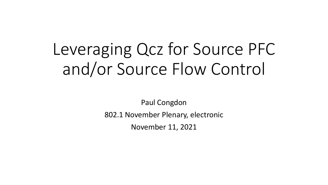# Leveraging Qcz for Source PFC and/or Source Flow Control

Paul Congdon

802.1 November Plenary, electronic

November 11, 2021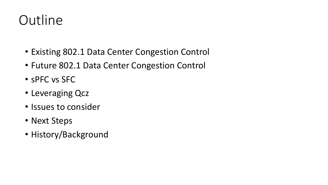## **Outline**

- Existing 802.1 Data Center Congestion Control
- Future 802.1 Data Center Congestion Control
- sPFC vs SFC
- Leveraging Qcz
- Issues to consider
- Next Steps
- History/Background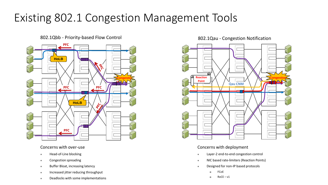### Existing 802.1 Congestion Management Tools

#### 802.1Qbb - Priority-based Flow Control and Box 202.1Qau - Congestion Notification



#### Concerns with over-use

- ⚫ Head-of-Line blocking
- ⚫ Congestion spreading
- Buffer Bloat, increasing latency
- ⚫ Increased jitter reducing throughput
- ⚫ Deadlocks with some implementations



#### Concerns with deployment

- ⚫ Layer-2 end-to-end congestion control
- ⚫ NIC based rate-limiters (Reaction Points)
- ⚫ Designed for non-IP based protocols
	- FCoE
	- $\Box$  RoCE v1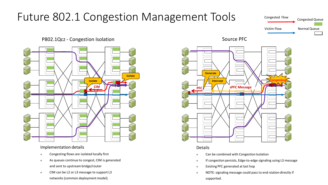### Future 802.1 Congestion Management Tools

#### Congested Flow Victim Flow Congested Queue Normal Queue

### P802.1Qcz - Congestion Isolation



#### Implementation details

- ⚫ Congesting flows are isolated locally first
- As queues continue to congest, CIM is generated and sent to upstream bridge/router
- ⚫ CIM can be L2 or L3 message to support L3 networks (common deployment model).



Source PFC

#### Details

- Can be combined with Congestion Isolation
- ⚫ If congestion persists, Edge-to-edge signaling using L3 message
- ⚫ Existing PFC generated at last hop
- ⚫ NOTE: signaling message could pass to end-station directly if supported.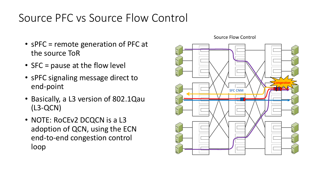### Source PFC vs Source Flow Control

- sPFC = remote generation of PFC at the source ToR
- SFC = pause at the flow level
- sPFC signaling message direct to end-point
- Basically, a L3 version of 802.1Qau (L3-QCN)
- NOTE: RoCEv2 DCQCN is a L3 adoption of QCN, using the ECN end-to-end congestion control loop



Source Flow Control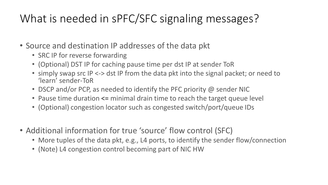### What is needed in sPFC/SFC signaling messages?

- Source and destination IP addresses of the data pkt
	- SRC IP for reverse forwarding
	- (Optional) DST IP for caching pause time per dst IP at sender ToR
	- simply swap src IP <-> dst IP from the data pkt into the signal packet; or need to 'learn' sender-ToR
	- DSCP and/or PCP, as needed to identify the PFC priority @ sender NIC
	- Pause time duration **<=** minimal drain time to reach the target queue level
	- (Optional) congestion locator such as congested switch/port/queue IDs
- Additional information for true 'source' flow control (SFC)
	- More tuples of the data pkt, e.g., L4 ports, to identify the sender flow/connection
	- (Note) L4 congestion control becoming part of NIC HW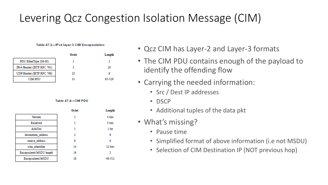### Levering Qcz Congestion Isolation Message (CIM)

#### Table 47-2-IPv4 layer-3 CIM Encapsulation

|                            | Octet | Length |
|----------------------------|-------|--------|
| PDU EtherType (08-00)      |       |        |
| IPv4 Header (IETF RFC 791) |       | 20     |
| UDP Header (IETF RFC 768)  | -23   |        |
| <b>CIM PDU</b>             |       | 65-529 |

#### Table 47-4-CIM PDU

|                                 | Octet | Length  |
|---------------------------------|-------|---------|
| Version                         |       | 4 bits  |
| Reserved                        |       | 3 bits  |
| Add/Del                         |       | 1 bit   |
| destination address             |       | б       |
| source address                  |       | 6       |
| vlan identifier                 | 14    | 12 bits |
| <b>Encapsulated MSDU length</b> | 16    |         |
| <b>Encapsulated MSDU</b>        | 18    | 48-512  |

- Qcz CIM has Layer-2 and Layer-3 formats
- The CIM PDU contains enough of the payload to identify the offending flow
- Carrying the needed information:
	- Src / Dest IP addresses
	- DSCP
	- Additional tuples of the data pkt
- What's missing?
	- Pause time
	- Simplified format of above information (i.e not MSDU)
	- Selection of CIM Destination IP (NOT previous hop)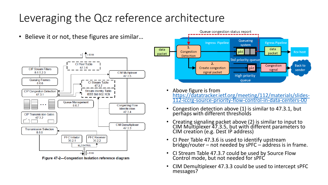### Leveraging the Qcz reference architecture

• Believe it or not, these figures are similar…



Figure 47-2-Congestion Isolation reference diagram



- Above figure is from [https://datatracker.ietf.org/meeting/112/materials/slides-](https://datatracker.ietf.org/meeting/112/materials/slides-112-iccrg-source-priority-flow-control-in-data-centers-00)112-iccrg-source-priority-flow-control-in-data-centers-00
- Congestion detection above (1) is similar to 47.3.1, but perhaps with different thresholds
- Creating signaling packet above (2) is similar to input to CIM Multiplexer 47.3.5, but with different parameters to CIM creation (e.g. Dest IP address)
- CI Peer Table 47.3.6 is used to identify upstream bridge/router – not needed by sPFC – address is in frame.
- CI Stream Table 47.3.7 could be used by Source Flow Control mode, but not needed for sPFC
- CIM Demultiplexer 47.3.3 could be used to intercept sPFC messages?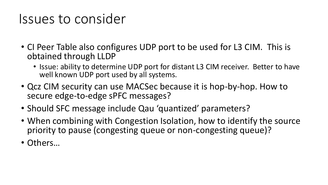### Issues to consider

- CI Peer Table also configures UDP port to be used for L3 CIM. This is obtained through LLDP
	- Issue: ability to determine UDP port for distant L3 CIM receiver. Better to have well known UDP port used by all systems.
- Qcz CIM security can use MACSec because it is hop-by-hop. How to secure edge-to-edge sPFC messages?
- Should SFC message include Qau 'quantized' parameters?
- When combining with Congestion Isolation, how to identify the source priority to pause (congesting queue or non-congesting queue)?
- Others…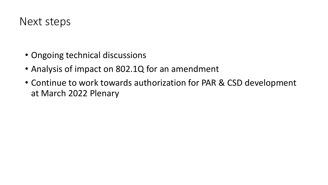

- Ongoing technical discussions
- Analysis of impact on 802.1Q for an amendment
- Continue to work towards authorization for PAR & CSD development at March 2022 Plenary